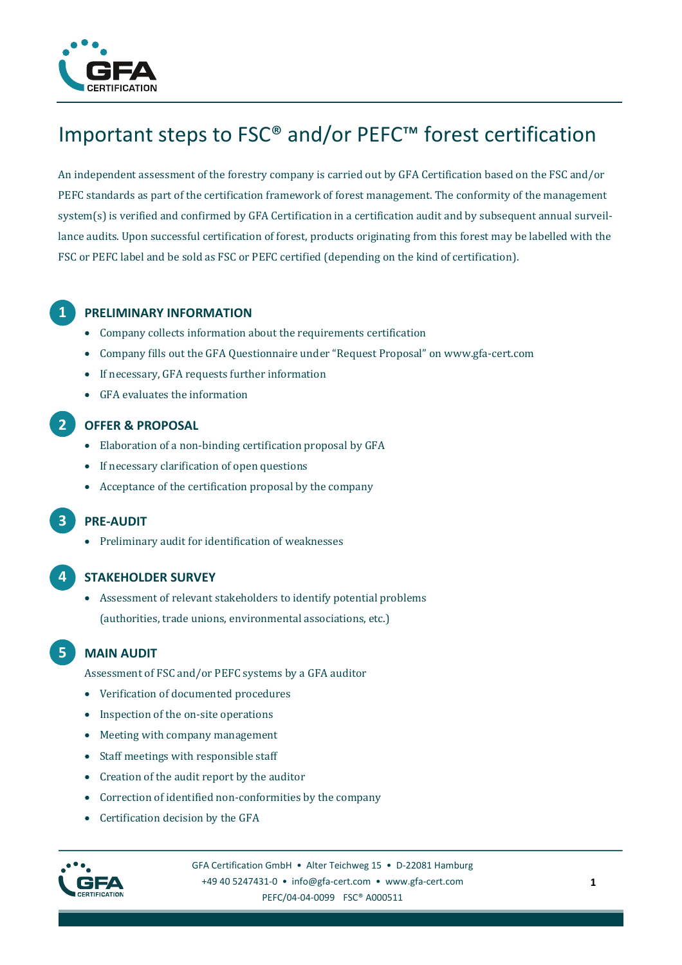

# Important steps to FSC® and/or PEFC™ forest certification

An independent assessment of the forestry company is carried out by GFA Certification based on the FSC and/or PEFC standards as part of the certification framework of forest management. The conformity of the management system(s) is verified and confirmed by GFA Certification in a certification audit and by subsequent annual surveillance audits. Upon successful certification of forest, products originating from this forest may be labelled with the FSC or PEFC label and be sold as FSC or PEFC certified (depending on the kind of certification).

## **1 PRELIMINARY INFORMATION**

- Company collects information about the requirements certification
- Company fills out the GFA Questionnaire under "Request Proposal" on www.gfa-cert.com
- If necessary, GFA requests further information
- GFA evaluates the information

## **2 OFFER & PROPOSAL**

- Elaboration of a non-binding certification proposal by GFA
- If necessary clarification of open questions
- Acceptance of the certification proposal by the company

## **3 PRE-AUDIT**

Preliminary audit for identification of weaknesses

#### **4 STAKEHOLDER SURVEY**

 Assessment of relevant stakeholders to identify potential problems (authorities, trade unions, environmental associations, etc.)

## **5 MAIN AUDIT**

- Assessment of FSC and/or PEFC systems by a GFA auditor
- Verification of documented procedures
- Inspection of the on-site operations
- Meeting with company management
- Staff meetings with responsible staff
- Creation of the audit report by the auditor
- Correction of identified non-conformities by the company
- Certification decision by the GFA



GFA Certification GmbH • Alter Teichweg 15 • D-22081 Hamburg +49 40 5247431-0 • info@gfa-cert.com • [www.gfa-cert.com](http://www.gfa-cert.com/) PEFC/04-04-0099 FSC® A000511